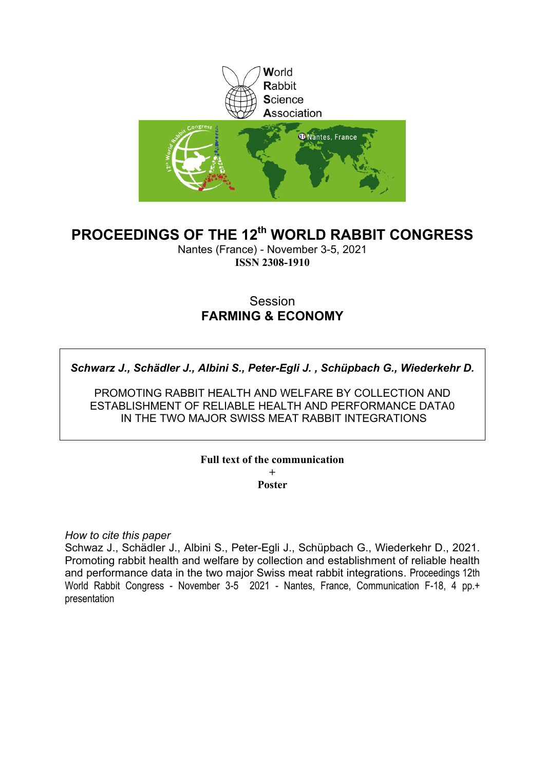

# **PROCEEDINGS OF THE 12th WORLD RABBIT CONGRESS**

Nantes (France) - November 3-5, 2021 **ISSN 2308-1910**

# Session **FARMING & ECONOMY**

*Schwarz J., Schädler J., Albini S., Peter-Egli J. , Schüpbach G., Wiederkehr D.*

PROMOTING RABBIT HEALTH AND WELFARE BY COLLECTION AND ESTABLISHMENT OF RELIABLE HEALTH AND PERFORMANCE DATA0 IN THE TWO MAJOR SWISS MEAT RABBIT INTEGRATIONS

# **Full text of the communication +**

**Poster**

*How to cite this paper*

Schwaz J., Schädler J., Albini S., Peter-Egli J., Schüpbach G., Wiederkehr D., 2021. Promoting rabbit health and welfare by collection and establishment of reliable health and performance data in the two major Swiss meat rabbit integrations. Proceedings 12th World Rabbit Congress - November 3-5 2021 - Nantes, France, Communication F-18, 4 pp.+ presentation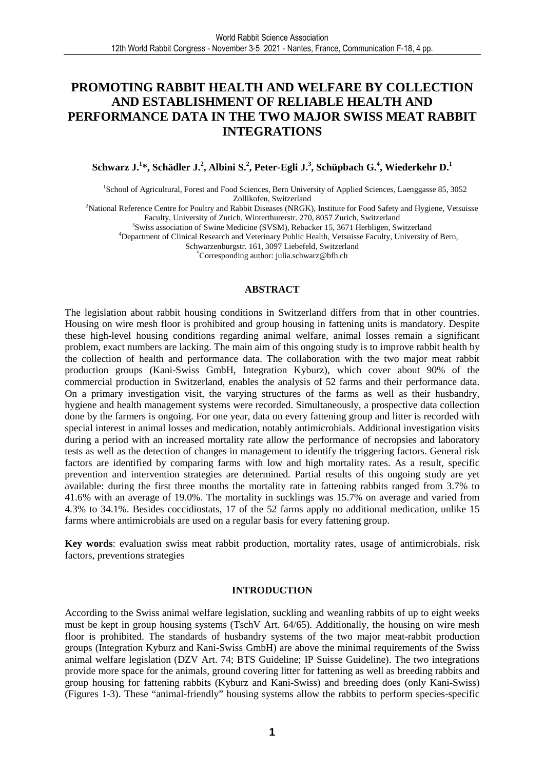# **PROMOTING RABBIT HEALTH AND WELFARE BY COLLECTION AND ESTABLISHMENT OF RELIABLE HEALTH AND PERFORMANCE DATA IN THE TWO MAJOR SWISS MEAT RABBIT INTEGRATIONS**

## **Schwarz J.<sup>1</sup> \*, Schädler J.<sup>2</sup> , Albini S.<sup>2</sup> , Peter-Egli J.<sup>3</sup> , Schüpbach G.<sup>4</sup> , Wiederkehr D.<sup>1</sup>**

1 School of Agricultural, Forest and Food Sciences, Bern University of Applied Sciences, Laenggasse 85, 3052 Zollikofen, Switzerland

<sup>2</sup>National Reference Centre for Poultry and Rabbit Diseases (NRGK), Institute for Food Safety and Hygiene, Vetsuisse Faculty, University of Zurich, Winterthurerstr. 270, 8057 Zurich, Switzerland

<sup>3</sup>Swiss association of Swine Medicine (SVSM), Rebacker 15, 3671 Herbligen, Switzerland

<sup>4</sup>Department of Clinical Research and Veterinary Public Health, Vetsuisse Faculty, University of Bern,

Schwarzenburgstr. 161, 3097 Liebefeld, Switzerland

\*Corresponding author: julia.schwarz@bfh.ch

### **ABSTRACT**

The legislation about rabbit housing conditions in Switzerland differs from that in other countries. Housing on wire mesh floor is prohibited and group housing in fattening units is mandatory. Despite these high-level housing conditions regarding animal welfare, animal losses remain a significant problem, exact numbers are lacking. The main aim of this ongoing study is to improve rabbit health by the collection of health and performance data. The collaboration with the two major meat rabbit production groups (Kani-Swiss GmbH, Integration Kyburz), which cover about 90% of the commercial production in Switzerland, enables the analysis of 52 farms and their performance data. On a primary investigation visit, the varying structures of the farms as well as their husbandry, hygiene and health management systems were recorded. Simultaneously, a prospective data collection done by the farmers is ongoing. For one year, data on every fattening group and litter is recorded with special interest in animal losses and medication, notably antimicrobials. Additional investigation visits during a period with an increased mortality rate allow the performance of necropsies and laboratory tests as well as the detection of changes in management to identify the triggering factors. General risk factors are identified by comparing farms with low and high mortality rates. As a result, specific prevention and intervention strategies are determined. Partial results of this ongoing study are yet available: during the first three months the mortality rate in fattening rabbits ranged from 3.7% to 41.6% with an average of 19.0%. The mortality in sucklings was 15.7% on average and varied from 4.3% to 34.1%. Besides coccidiostats, 17 of the 52 farms apply no additional medication, unlike 15 farms where antimicrobials are used on a regular basis for every fattening group.

**Key words**: evaluation swiss meat rabbit production, mortality rates, usage of antimicrobials, risk factors, preventions strategies

#### **INTRODUCTION**

According to the Swiss animal welfare legislation, suckling and weanling rabbits of up to eight weeks must be kept in group housing systems (TschV Art. 64/65). Additionally, the housing on wire mesh floor is prohibited. The standards of husbandry systems of the two major meat-rabbit production groups (Integration Kyburz and Kani-Swiss GmbH) are above the minimal requirements of the Swiss animal welfare legislation (DZV Art. 74; BTS Guideline; IP Suisse Guideline). The two integrations provide more space for the animals, ground covering litter for fattening as well as breeding rabbits and group housing for fattening rabbits (Kyburz and Kani-Swiss) and breeding does (only Kani-Swiss) (Figures 1-3). These "animal-friendly" housing systems allow the rabbits to perform species-specific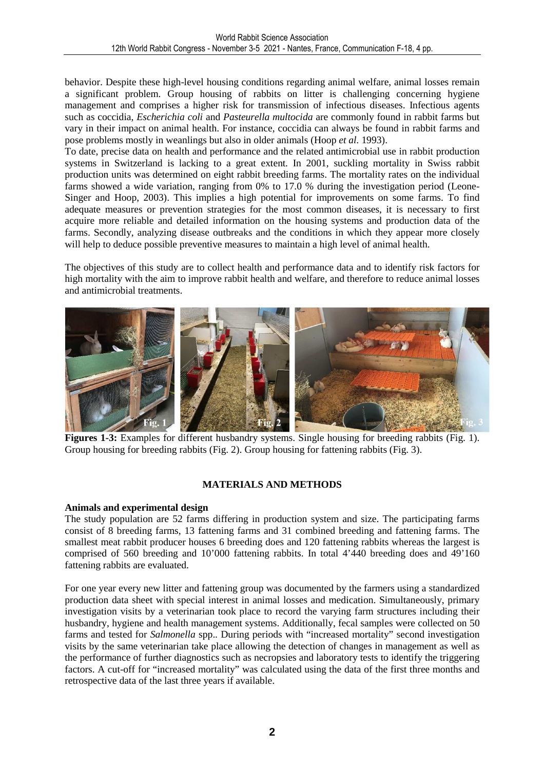behavior. Despite these high-level housing conditions regarding animal welfare, animal losses remain a significant problem. Group housing of rabbits on litter is challenging concerning hygiene management and comprises a higher risk for transmission of infectious diseases. Infectious agents such as coccidia, *Escherichia coli* and *Pasteurella multocida* are commonly found in rabbit farms but vary in their impact on animal health. For instance, coccidia can always be found in rabbit farms and pose problems mostly in weanlings but also in older animals (Hoop *et al.* 1993).

To date, precise data on health and performance and the related antimicrobial use in rabbit production systems in Switzerland is lacking to a great extent. In 2001, suckling mortality in Swiss rabbit production units was determined on eight rabbit breeding farms. The mortality rates on the individual farms showed a wide variation, ranging from 0% to 17.0 % during the investigation period (Leone-Singer and Hoop, 2003). This implies a high potential for improvements on some farms. To find adequate measures or prevention strategies for the most common diseases, it is necessary to first acquire more reliable and detailed information on the housing systems and production data of the farms. Secondly, analyzing disease outbreaks and the conditions in which they appear more closely will help to deduce possible preventive measures to maintain a high level of animal health.

The objectives of this study are to collect health and performance data and to identify risk factors for high mortality with the aim to improve rabbit health and welfare, and therefore to reduce animal losses and antimicrobial treatments.



**Figures 1-3:** Examples for different husbandry systems. Single housing for breeding rabbits (Fig. 1). Group housing for breeding rabbits (Fig. 2). Group housing for fattening rabbits (Fig. 3).

## **MATERIALS AND METHODS**

#### **Animals and experimental design**

The study population are 52 farms differing in production system and size. The participating farms consist of 8 breeding farms, 13 fattening farms and 31 combined breeding and fattening farms. The smallest meat rabbit producer houses 6 breeding does and 120 fattening rabbits whereas the largest is comprised of 560 breeding and 10'000 fattening rabbits. In total 4'440 breeding does and 49'160 fattening rabbits are evaluated.

For one year every new litter and fattening group was documented by the farmers using a standardized production data sheet with special interest in animal losses and medication. Simultaneously, primary investigation visits by a veterinarian took place to record the varying farm structures including their husbandry, hygiene and health management systems. Additionally, fecal samples were collected on 50 farms and tested for *Salmonella* spp.. During periods with "increased mortality" second investigation visits by the same veterinarian take place allowing the detection of changes in management as well as the performance of further diagnostics such as necropsies and laboratory tests to identify the triggering factors. A cut-off for "increased mortality" was calculated using the data of the first three months and retrospective data of the last three years if available.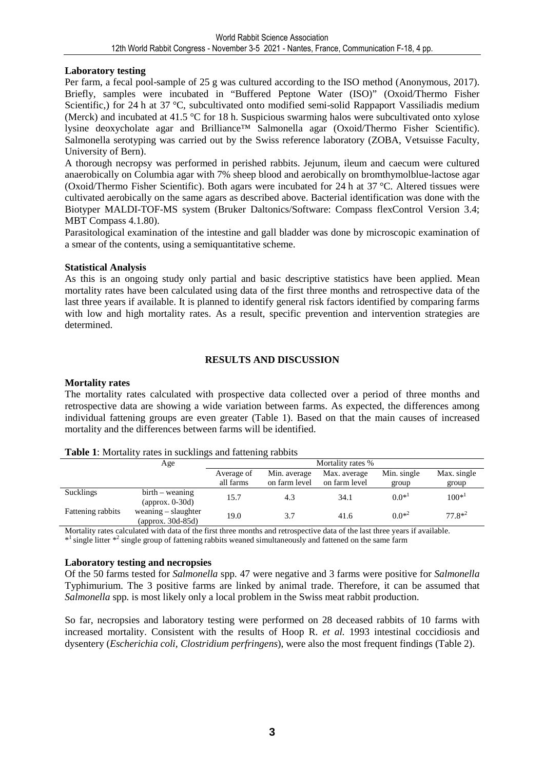## **Laboratory testing**

Per farm, a fecal pool-sample of 25 g was cultured according to the ISO method (Anonymous, 2017). Briefly, samples were incubated in "Buffered Peptone Water (ISO)" (Oxoid/Thermo Fisher Scientific,) for 24 h at 37 °C, subcultivated onto modified semi-solid Rappaport Vassiliadis medium (Merck) and incubated at 41.5 °C for 18 h. Suspicious swarming halos were subcultivated onto xylose lysine deoxycholate agar and Brilliance™ Salmonella agar (Oxoid/Thermo Fisher Scientific). Salmonella serotyping was carried out by the Swiss reference laboratory (ZOBA, Vetsuisse Faculty, University of Bern).

A thorough necropsy was performed in perished rabbits. Jejunum, ileum and caecum were cultured anaerobically on Columbia agar with 7% sheep blood and aerobically on bromthymolblue-lactose agar (Oxoid/Thermo Fisher Scientific). Both agars were incubated for 24 h at 37 °C. Altered tissues were cultivated aerobically on the same agars as described above. Bacterial identification was done with the Biotyper MALDI-TOF-MS system (Bruker Daltonics/Software: Compass flexControl Version 3.4; MBT Compass 4.1.80).

Parasitological examination of the intestine and gall bladder was done by microscopic examination of a smear of the contents, using a semiquantitative scheme.

## **Statistical Analysis**

As this is an ongoing study only partial and basic descriptive statistics have been applied. Mean mortality rates have been calculated using data of the first three months and retrospective data of the last three years if available. It is planned to identify general risk factors identified by comparing farms with low and high mortality rates. As a result, specific prevention and intervention strategies are determined.

## **RESULTS AND DISCUSSION**

## **Mortality rates**

The mortality rates calculated with prospective data collected over a period of three months and retrospective data are showing a wide variation between farms. As expected, the differences among individual fattening groups are even greater (Table 1). Based on that the main causes of increased mortality and the differences between farms will be identified.

|                   | Age                      |            |               | Mortality rates % |                     |             |  |
|-------------------|--------------------------|------------|---------------|-------------------|---------------------|-------------|--|
|                   |                          |            |               |                   |                     |             |  |
|                   |                          | Average of | Min. average  | Max. average      | Min. single         | Max. single |  |
|                   |                          | all farms  | on farm level | on farm level     | group               | group       |  |
| Sucklings         | $birth - wearing$        | 15.7       | 4.3           | 34.1              | $0.0*$ <sup>1</sup> | $100*^1$    |  |
|                   | $\alpha$ (approx. 0-30d) |            |               |                   |                     |             |  |
| Fattening rabbits | weaning $-$ slaughter    | 19.0       | 3.7           | 41.6              | $0.0*^2$            | $77.8*^2$   |  |
|                   | (approx. $30d - 85d$ )   |            |               |                   |                     |             |  |

#### **Table 1**: Mortality rates in sucklings and fattening rabbits

Mortality rates calculated with data of the first three months and retrospective data of the last three years if available. \*<sup>1</sup> single litter \*<sup>2</sup> single group of fattening rabbits weaned simultaneously and fattened on the same farm

## **Laboratory testing and necropsies**

Of the 50 farms tested for *Salmonella* spp*.* 47 were negative and 3 farms were positive for *Salmonella*  Typhimurium. The 3 positive farms are linked by animal trade. Therefore, it can be assumed that *Salmonella* spp*.* is most likely only a local problem in the Swiss meat rabbit production.

So far, necropsies and laboratory testing were performed on 28 deceased rabbits of 10 farms with increased mortality. Consistent with the results of Hoop R. *et al.* 1993 intestinal coccidiosis and dysentery (*Escherichia coli, Clostridium perfringens*), were also the most frequent findings (Table 2).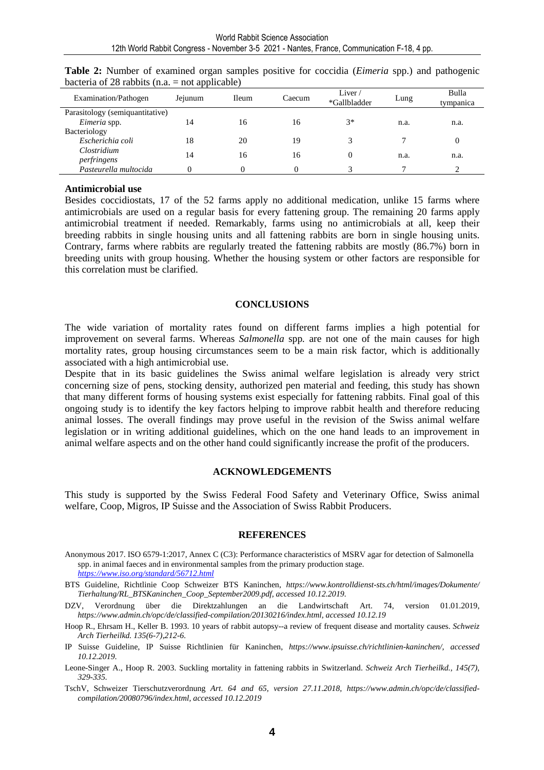| Examination/Pathogen            | Jejunum | <b>Ileum</b> | Caecum | Liver $\ell$<br>*Gallbladder | Lung | Bulla<br>tympanica |
|---------------------------------|---------|--------------|--------|------------------------------|------|--------------------|
| Parasitology (semiquantitative) |         |              |        |                              |      |                    |
| Eimeria spp.                    | 14      | 16           | 16     | $3*$                         | n.a. | n.a.               |
| Bacteriology                    |         |              |        |                              |      |                    |
| Escherichia coli                | 18      | 20           | 19     |                              |      |                    |
| Clostridium                     | 14      | 16           | 16     |                              | n.a. | n.a.               |
| perfringens                     |         |              |        |                              |      |                    |
| Pasteurella multocida           |         | $\Omega$     |        |                              |      |                    |

**Table 2:** Number of examined organ samples positive for coccidia (*Eimeria* spp.) and pathogenic bacteria of 28 rabbits (n.a.  $=$  not applicable)

#### **Antimicrobial use**

Besides coccidiostats, 17 of the 52 farms apply no additional medication, unlike 15 farms where antimicrobials are used on a regular basis for every fattening group. The remaining 20 farms apply antimicrobial treatment if needed. Remarkably, farms using no antimicrobials at all, keep their breeding rabbits in single housing units and all fattening rabbits are born in single housing units. Contrary, farms where rabbits are regularly treated the fattening rabbits are mostly (86.7%) born in breeding units with group housing. Whether the housing system or other factors are responsible for this correlation must be clarified.

#### **CONCLUSIONS**

The wide variation of mortality rates found on different farms implies a high potential for improvement on several farms. Whereas *Salmonella* spp*.* are not one of the main causes for high mortality rates, group housing circumstances seem to be a main risk factor, which is additionally associated with a high antimicrobial use.

Despite that in its basic guidelines the Swiss animal welfare legislation is already very strict concerning size of pens, stocking density, authorized pen material and feeding, this study has shown that many different forms of housing systems exist especially for fattening rabbits. Final goal of this ongoing study is to identify the key factors helping to improve rabbit health and therefore reducing animal losses. The overall findings may prove useful in the revision of the Swiss animal welfare legislation or in writing additional guidelines, which on the one hand leads to an improvement in animal welfare aspects and on the other hand could significantly increase the profit of the producers.

#### **ACKNOWLEDGEMENTS**

This study is supported by the Swiss Federal Food Safety and Veterinary Office, Swiss animal welfare, Coop, Migros, IP Suisse and the Association of Swiss Rabbit Producers.

#### **REFERENCES**

Anonymous 2017. ISO 6579-1:2017, Annex C (C3): Performance characteristics of MSRV agar for detection of Salmonella spp. in animal faeces and in environmental samples from the primary production stage. *https://www.iso.org/standard/56712.html*

BTS Guideline, Richtlinie Coop Schweizer BTS Kaninchen, *https://www.kontrolldienst-sts.ch/html/images/Dokumente/ Tierhaltung/RL\_BTSKaninchen\_Coop\_September2009.pdf, accessed 10.12.2019.* 

DZV, Verordnung über die Direktzahlungen an die Landwirtschaft Art. 74, version 01.01.2019, *https://www.admin.ch/opc/de/classified-compilation/20130216/index.html, accessed 10.12.19* 

Hoop R., Ehrsam H., Keller B. 1993. 10 years of rabbit autopsy--a review of frequent disease and mortality causes. *Schweiz Arch Tierheilkd. 135(6-7),212-6.*

IP Suisse Guideline, IP Suisse Richtlinien für Kaninchen, *https://www.ipsuisse.ch/richtlinien-kaninchen/, accessed 10.12.2019.* 

Leone-Singer A., Hoop R. 2003. Suckling mortality in fattening rabbits in Switzerland. *Schweiz Arch Tierheilkd., 145(7), 329-335.* 

TschV, Schweizer Tierschutzverordnung *Art. 64 and 65, version 27.11.2018, https://www.admin.ch/opc/de/classifiedcompilation/20080796/index.html, accessed 10.12.2019*